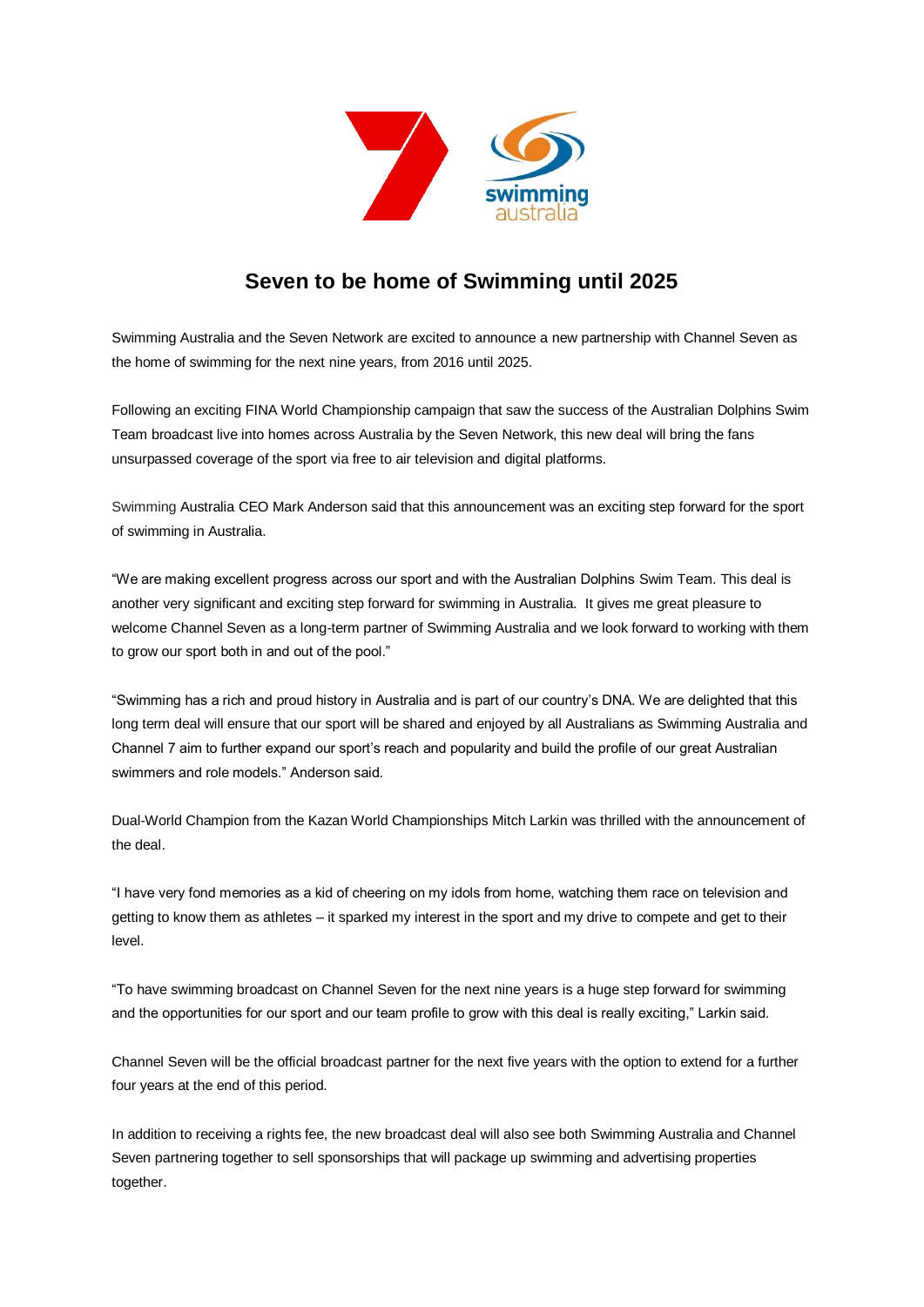

## **Seven to be home of Swimming until 2025**

Swimming Australia and the Seven Network are excited to announce a new partnership with Channel Seven as the home of swimming for the next nine years, from 2016 until 2025.

Following an exciting FINA World Championship campaign that saw the success of the Australian Dolphins Swim Team broadcast live into homes across Australia by the Seven Network, this new deal will bring the fans unsurpassed coverage of the sport via free to air television and digital platforms.

Swimming Australia CEO Mark Anderson said that this announcement was an exciting step forward for the sport of swimming in Australia.

"We are making excellent progress across our sport and with the Australian Dolphins Swim Team. This deal is another very significant and exciting step forward for swimming in Australia. It gives me great pleasure to welcome Channel Seven as a long-term partner of Swimming Australia and we look forward to working with them to grow our sport both in and out of the pool."

"Swimming has a rich and proud history in Australia and is part of our country's DNA. We are delighted that this long term deal will ensure that our sport will be shared and enjoyed by all Australians as Swimming Australia and Channel 7 aim to further expand our sport's reach and popularity and build the profile of our great Australian swimmers and role models." Anderson said.

Dual-World Champion from the Kazan World Championships Mitch Larkin was thrilled with the announcement of the deal.

"I have very fond memories as a kid of cheering on my idols from home, watching them race on television and getting to know them as athletes – it sparked my interest in the sport and my drive to compete and get to their level.

"To have swimming broadcast on Channel Seven for the next nine years is a huge step forward for swimming and the opportunities for our sport and our team profile to grow with this deal is really exciting," Larkin said.

Channel Seven will be the official broadcast partner for the next five years with the option to extend for a further four years at the end of this period.

In addition to receiving a rights fee, the new broadcast deal will also see both Swimming Australia and Channel Seven partnering together to sell sponsorships that will package up swimming and advertising properties together.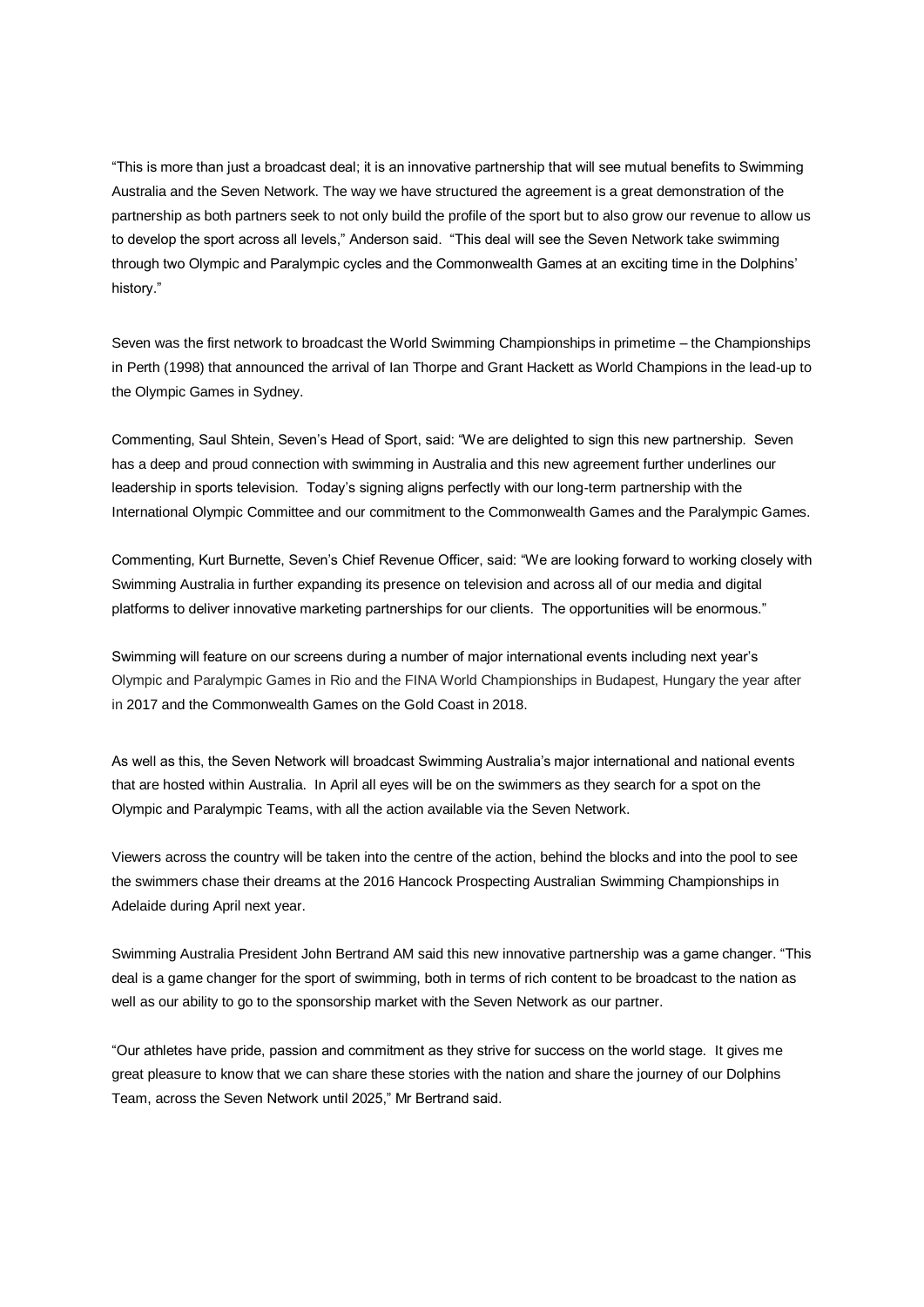"This is more than just a broadcast deal; it is an innovative partnership that will see mutual benefits to Swimming Australia and the Seven Network. The way we have structured the agreement is a great demonstration of the partnership as both partners seek to not only build the profile of the sport but to also grow our revenue to allow us to develop the sport across all levels," Anderson said. "This deal will see the Seven Network take swimming through two Olympic and Paralympic cycles and the Commonwealth Games at an exciting time in the Dolphins' history."

Seven was the first network to broadcast the World Swimming Championships in primetime – the Championships in Perth (1998) that announced the arrival of Ian Thorpe and Grant Hackett as World Champions in the lead-up to the Olympic Games in Sydney.

Commenting, Saul Shtein, Seven's Head of Sport, said: "We are delighted to sign this new partnership. Seven has a deep and proud connection with swimming in Australia and this new agreement further underlines our leadership in sports television. Today's signing aligns perfectly with our long-term partnership with the International Olympic Committee and our commitment to the Commonwealth Games and the Paralympic Games.

Commenting, Kurt Burnette, Seven's Chief Revenue Officer, said: "We are looking forward to working closely with Swimming Australia in further expanding its presence on television and across all of our media and digital platforms to deliver innovative marketing partnerships for our clients. The opportunities will be enormous."

Swimming will feature on our screens during a number of major international events including next year's Olympic and Paralympic Games in Rio and the FINA World Championships in Budapest, Hungary the year after in 2017 and the Commonwealth Games on the Gold Coast in 2018.

As well as this, the Seven Network will broadcast Swimming Australia's major international and national events that are hosted within Australia. In April all eyes will be on the swimmers as they search for a spot on the Olympic and Paralympic Teams, with all the action available via the Seven Network.

Viewers across the country will be taken into the centre of the action, behind the blocks and into the pool to see the swimmers chase their dreams at the 2016 Hancock Prospecting Australian Swimming Championships in Adelaide during April next year.

Swimming Australia President John Bertrand AM said this new innovative partnership was a game changer. "This deal is a game changer for the sport of swimming, both in terms of rich content to be broadcast to the nation as well as our ability to go to the sponsorship market with the Seven Network as our partner.

"Our athletes have pride, passion and commitment as they strive for success on the world stage. It gives me great pleasure to know that we can share these stories with the nation and share the journey of our Dolphins Team, across the Seven Network until 2025," Mr Bertrand said.